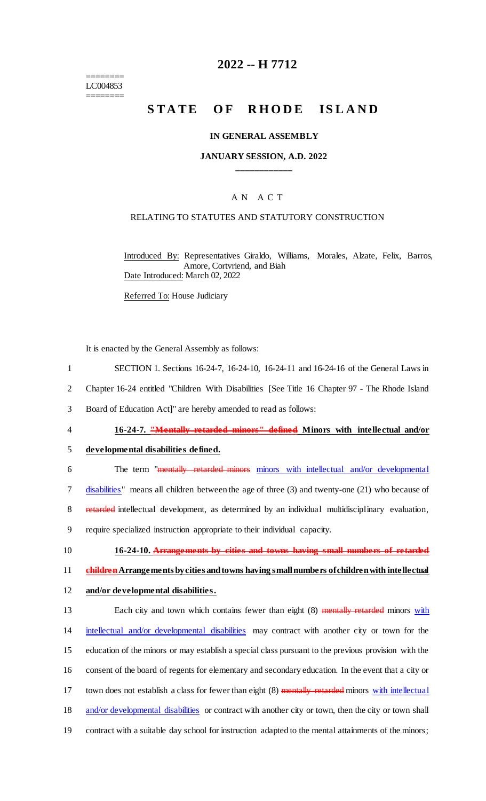======== LC004853 ========

## **2022 -- H 7712**

## **STATE OF RHODE ISLAND**

#### **IN GENERAL ASSEMBLY**

#### **JANUARY SESSION, A.D. 2022 \_\_\_\_\_\_\_\_\_\_\_\_**

#### A N A C T

#### RELATING TO STATUTES AND STATUTORY CONSTRUCTION

Introduced By: Representatives Giraldo, Williams, Morales, Alzate, Felix, Barros, Amore, Cortvriend, and Biah Date Introduced: March 02, 2022

Referred To: House Judiciary

It is enacted by the General Assembly as follows:

- 1 SECTION 1. Sections 16-24-7, 16-24-10, 16-24-11 and 16-24-16 of the General Laws in
- 2 Chapter 16-24 entitled "Children With Disabilities [See Title 16 Chapter 97 The Rhode Island
- 3 Board of Education Act]" are hereby amended to read as follows:
- 

## 4 **16-24-7. "Mentally retarded minors" defined Minors with intellectual and/or**

- 5 **developmental disabilities defined.**
- 6 The term "mentally retarded minors minors with intellectual and/or developmental 7 disabilities" means all children between the age of three (3) and twenty-one (21) who because of 8 retarded intellectual development, as determined by an individual multidisciplinary evaluation, 9 require specialized instruction appropriate to their individual capacity.
	-

10 **16-24-10. Arrangements by cities and towns having small numbers of retarded** 

11 **childrenArrangements by cities and towns having small numbers of children with intellectual** 

12 **and/or developmental disabilities.**

13 Each city and town which contains fewer than eight (8) mentally retarded minors with 14 intellectual and/or developmental disabilities may contract with another city or town for the 15 education of the minors or may establish a special class pursuant to the previous provision with the 16 consent of the board of regents for elementary and secondary education. In the event that a city or 17 town does not establish a class for fewer than eight (8) mentally retarded minors with intellectual 18 and/or developmental disabilities or contract with another city or town, then the city or town shall 19 contract with a suitable day school for instruction adapted to the mental attainments of the minors;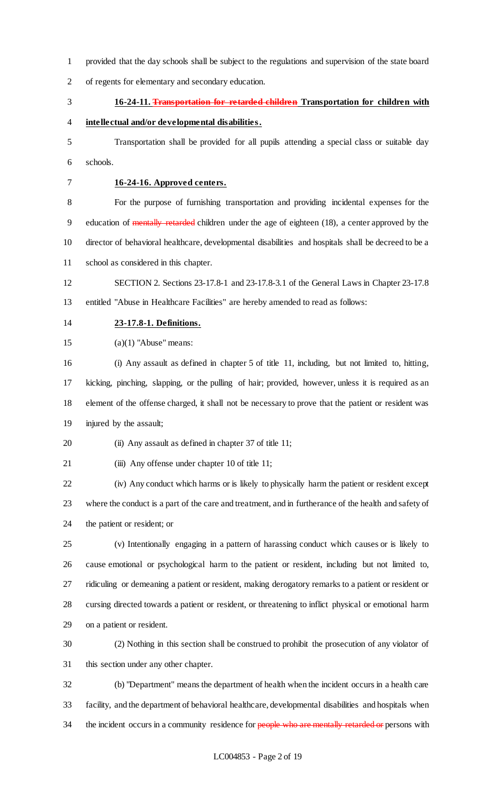provided that the day schools shall be subject to the regulations and supervision of the state board of regents for elementary and secondary education.

- 
- **16-24-11. Transportation for retarded children Transportation for children with**
- **intellectual and/or developmental disabilities.**
- Transportation shall be provided for all pupils attending a special class or suitable day schools.
- 

## **16-24-16. Approved centers.**

 For the purpose of furnishing transportation and providing incidental expenses for the 9 education of mentally retarded children under the age of eighteen (18), a center approved by the director of behavioral healthcare, developmental disabilities and hospitals shall be decreed to be a school as considered in this chapter.

 SECTION 2. Sections 23-17.8-1 and 23-17.8-3.1 of the General Laws in Chapter 23-17.8 entitled "Abuse in Healthcare Facilities" are hereby amended to read as follows:

**23-17.8-1. Definitions.**

15  $(a)(1)$  "Abuse" means:

 (i) Any assault as defined in chapter 5 of title 11, including, but not limited to, hitting, kicking, pinching, slapping, or the pulling of hair; provided, however, unless it is required as an element of the offense charged, it shall not be necessary to prove that the patient or resident was injured by the assault;

20 (ii) Any assault as defined in chapter 37 of title 11;

21 (iii) Any offense under chapter 10 of title 11;

 (iv) Any conduct which harms or is likely to physically harm the patient or resident except where the conduct is a part of the care and treatment, and in furtherance of the health and safety of the patient or resident; or

 (v) Intentionally engaging in a pattern of harassing conduct which causes or is likely to cause emotional or psychological harm to the patient or resident, including but not limited to, ridiculing or demeaning a patient or resident, making derogatory remarks to a patient or resident or cursing directed towards a patient or resident, or threatening to inflict physical or emotional harm on a patient or resident.

 (2) Nothing in this section shall be construed to prohibit the prosecution of any violator of this section under any other chapter.

 (b) "Department" means the department of health when the incident occurs in a health care facility, and the department of behavioral healthcare, developmental disabilities and hospitals when 34 the incident occurs in a community residence for people who are mentally retarded or persons with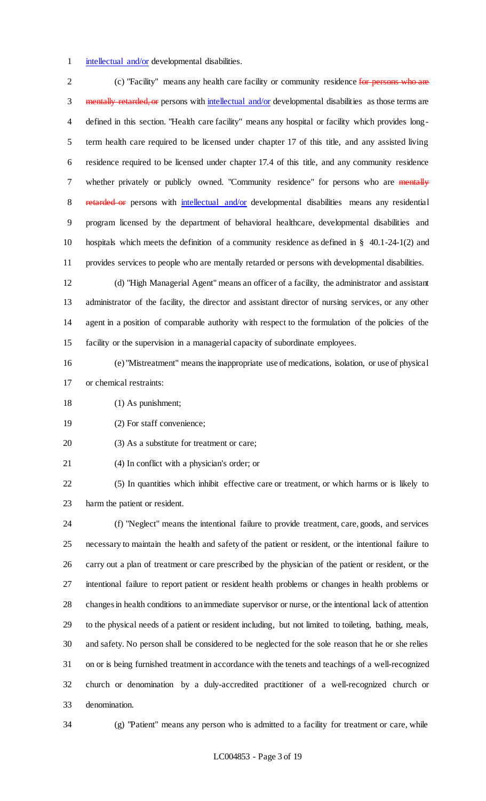1 intellectual and/or developmental disabilities.

2 (c) "Facility" means any health care facility or community residence for persons who are 3 mentally retarded, or persons with intellectual and/or developmental disabilities as those terms are defined in this section. "Health care facility" means any hospital or facility which provides long- term health care required to be licensed under chapter 17 of this title, and any assisted living residence required to be licensed under chapter 17.4 of this title, and any community residence 7 whether privately or publicly owned. "Community residence" for persons who are mentally 8 retarded or persons with intellectual and/or developmental disabilities means any residential program licensed by the department of behavioral healthcare, developmental disabilities and hospitals which meets the definition of a community residence as defined in § 40.1-24-1(2) and provides services to people who are mentally retarded or persons with developmental disabilities.

 (d) "High Managerial Agent" means an officer of a facility, the administrator and assistant administrator of the facility, the director and assistant director of nursing services, or any other agent in a position of comparable authority with respect to the formulation of the policies of the facility or the supervision in a managerial capacity of subordinate employees.

- (e) "Mistreatment" means the inappropriate use of medications, isolation, or use of physical or chemical restraints:
- (1) As punishment;
- (2) For staff convenience;
- 20 (3) As a substitute for treatment or care;
- (4) In conflict with a physician's order; or

 (5) In quantities which inhibit effective care or treatment, or which harms or is likely to harm the patient or resident.

 (f) "Neglect" means the intentional failure to provide treatment, care, goods, and services necessary to maintain the health and safety of the patient or resident, or the intentional failure to carry out a plan of treatment or care prescribed by the physician of the patient or resident, or the intentional failure to report patient or resident health problems or changes in health problems or changes in health conditions to an immediate supervisor or nurse, or the intentional lack of attention to the physical needs of a patient or resident including, but not limited to toileting, bathing, meals, and safety. No person shall be considered to be neglected for the sole reason that he or she relies on or is being furnished treatment in accordance with the tenets and teachings of a well-recognized church or denomination by a duly-accredited practitioner of a well-recognized church or denomination.

(g) "Patient" means any person who is admitted to a facility for treatment or care, while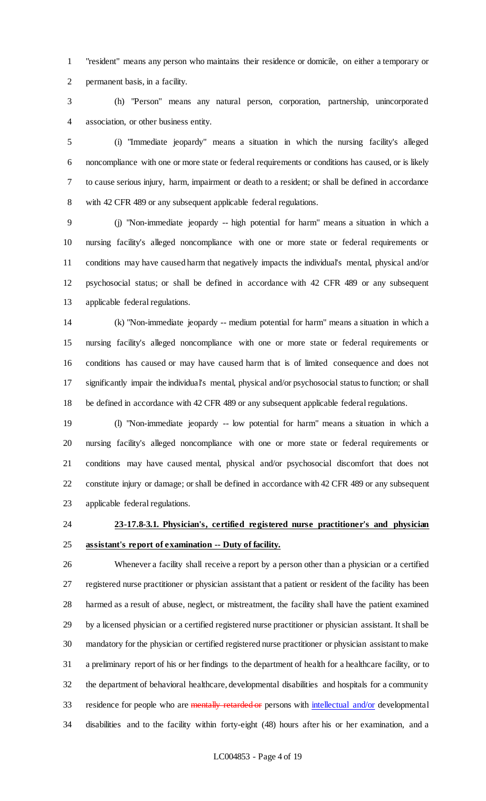"resident" means any person who maintains their residence or domicile, on either a temporary or permanent basis, in a facility.

 (h) "Person" means any natural person, corporation, partnership, unincorporated association, or other business entity.

 (i) "Immediate jeopardy" means a situation in which the nursing facility's alleged noncompliance with one or more state or federal requirements or conditions has caused, or is likely to cause serious injury, harm, impairment or death to a resident; or shall be defined in accordance with 42 CFR 489 or any subsequent applicable federal regulations.

 (j) "Non-immediate jeopardy -- high potential for harm" means a situation in which a nursing facility's alleged noncompliance with one or more state or federal requirements or conditions may have caused harm that negatively impacts the individual's mental, physical and/or psychosocial status; or shall be defined in accordance with 42 CFR 489 or any subsequent applicable federal regulations.

 (k) "Non-immediate jeopardy -- medium potential for harm" means a situation in which a nursing facility's alleged noncompliance with one or more state or federal requirements or conditions has caused or may have caused harm that is of limited consequence and does not significantly impair the individual's mental, physical and/or psychosocial status to function; or shall be defined in accordance with 42 CFR 489 or any subsequent applicable federal regulations.

 (l) "Non-immediate jeopardy -- low potential for harm" means a situation in which a nursing facility's alleged noncompliance with one or more state or federal requirements or conditions may have caused mental, physical and/or psychosocial discomfort that does not constitute injury or damage; or shall be defined in accordance with 42 CFR 489 or any subsequent applicable federal regulations.

# **23-17.8-3.1. Physician's, certified registered nurse practitioner's and physician assistant's report of examination -- Duty of facility.**

 Whenever a facility shall receive a report by a person other than a physician or a certified registered nurse practitioner or physician assistant that a patient or resident of the facility has been harmed as a result of abuse, neglect, or mistreatment, the facility shall have the patient examined by a licensed physician or a certified registered nurse practitioner or physician assistant. It shall be mandatory for the physician or certified registered nurse practitioner or physician assistant to make a preliminary report of his or her findings to the department of health for a healthcare facility, or to the department of behavioral healthcare, developmental disabilities and hospitals for a community 33 residence for people who are mentally retarded or persons with intellectual and/or developmental disabilities and to the facility within forty-eight (48) hours after his or her examination, and a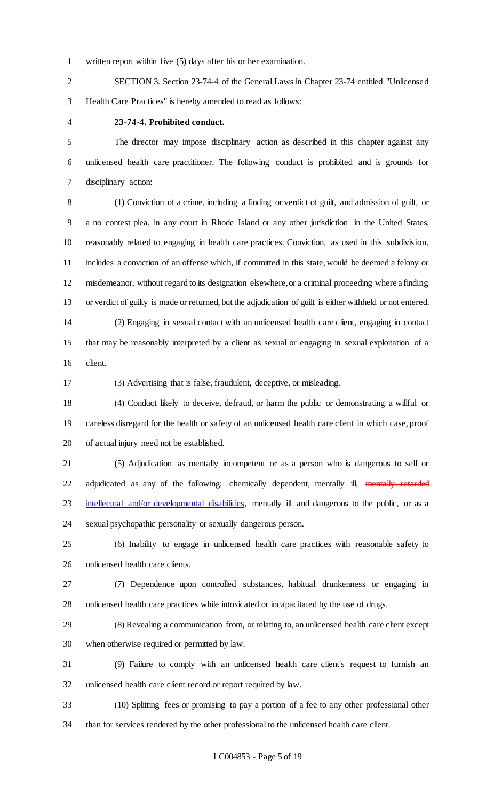written report within five (5) days after his or her examination.

 SECTION 3. Section 23-74-4 of the General Laws in Chapter 23-74 entitled "Unlicensed Health Care Practices" is hereby amended to read as follows:

#### **23-74-4. Prohibited conduct.**

 The director may impose disciplinary action as described in this chapter against any unlicensed health care practitioner. The following conduct is prohibited and is grounds for disciplinary action:

 (1) Conviction of a crime, including a finding or verdict of guilt, and admission of guilt, or a no contest plea, in any court in Rhode Island or any other jurisdiction in the United States, reasonably related to engaging in health care practices. Conviction, as used in this subdivision, includes a conviction of an offense which, if committed in this state, would be deemed a felony or misdemeanor, without regard to its designation elsewhere, or a criminal proceeding where a finding or verdict of guilty is made or returned, but the adjudication of guilt is either withheld or not entered. (2) Engaging in sexual contact with an unlicensed health care client, engaging in contact that may be reasonably interpreted by a client as sexual or engaging in sexual exploitation of a

client.

(3) Advertising that is false, fraudulent, deceptive, or misleading.

 (4) Conduct likely to deceive, defraud, or harm the public or demonstrating a willful or careless disregard for the health or safety of an unlicensed health care client in which case, proof of actual injury need not be established.

 (5) Adjudication as mentally incompetent or as a person who is dangerous to self or 22 adjudicated as any of the following: chemically dependent, mentally ill, mentally retarded 23 intellectual and/or developmental disabilities, mentally ill and dangerous to the public, or as a sexual psychopathic personality or sexually dangerous person.

 (6) Inability to engage in unlicensed health care practices with reasonable safety to unlicensed health care clients.

 (7) Dependence upon controlled substances, habitual drunkenness or engaging in unlicensed health care practices while intoxicated or incapacitated by the use of drugs.

 (8) Revealing a communication from, or relating to, an unlicensed health care client except when otherwise required or permitted by law.

 (9) Failure to comply with an unlicensed health care client's request to furnish an unlicensed health care client record or report required by law.

 (10) Splitting fees or promising to pay a portion of a fee to any other professional other than for services rendered by the other professional to the unlicensed health care client.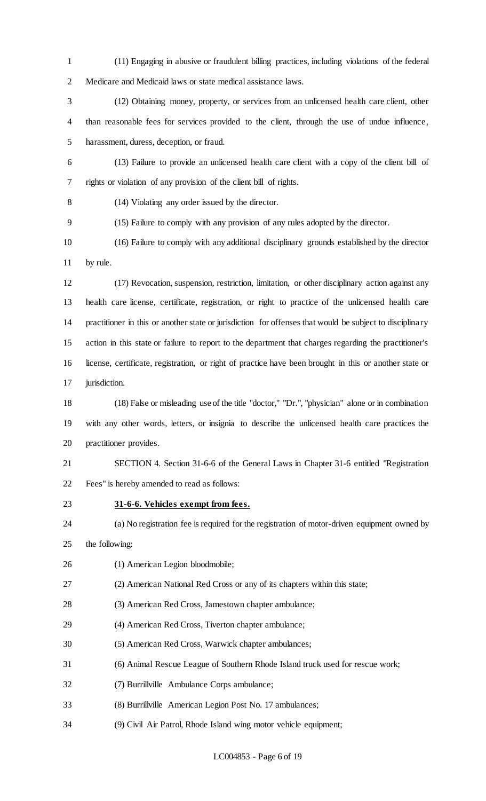(11) Engaging in abusive or fraudulent billing practices, including violations of the federal Medicare and Medicaid laws or state medical assistance laws.

 (12) Obtaining money, property, or services from an unlicensed health care client, other than reasonable fees for services provided to the client, through the use of undue influence, harassment, duress, deception, or fraud.

- (13) Failure to provide an unlicensed health care client with a copy of the client bill of rights or violation of any provision of the client bill of rights.
- 

(14) Violating any order issued by the director.

(15) Failure to comply with any provision of any rules adopted by the director.

 (16) Failure to comply with any additional disciplinary grounds established by the director by rule.

 (17) Revocation, suspension, restriction, limitation, or other disciplinary action against any health care license, certificate, registration, or right to practice of the unlicensed health care practitioner in this or another state or jurisdiction for offenses that would be subject to disciplinary action in this state or failure to report to the department that charges regarding the practitioner's license, certificate, registration, or right of practice have been brought in this or another state or 17 jurisdiction.

 (18) False or misleading use of the title "doctor," "Dr.", "physician" alone or in combination with any other words, letters, or insignia to describe the unlicensed health care practices the practitioner provides.

 SECTION 4. Section 31-6-6 of the General Laws in Chapter 31-6 entitled "Registration Fees" is hereby amended to read as follows:

## **31-6-6. Vehicles exempt from fees.**

(a) No registration fee is required for the registration of motor-driven equipment owned by

the following:

- 26 (1) American Legion bloodmobile;
- (2) American National Red Cross or any of its chapters within this state;
- (3) American Red Cross, Jamestown chapter ambulance;
- (4) American Red Cross, Tiverton chapter ambulance;
- (5) American Red Cross, Warwick chapter ambulances;
- (6) Animal Rescue League of Southern Rhode Island truck used for rescue work;
- (7) Burrillville Ambulance Corps ambulance;
- (8) Burrillville American Legion Post No. 17 ambulances;
- (9) Civil Air Patrol, Rhode Island wing motor vehicle equipment;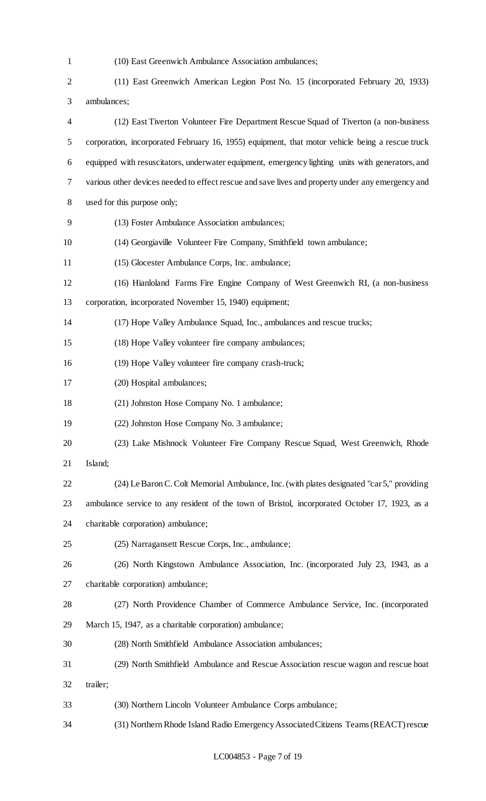- (10) East Greenwich Ambulance Association ambulances; (11) East Greenwich American Legion Post No. 15 (incorporated February 20, 1933) ambulances; (12) East Tiverton Volunteer Fire Department Rescue Squad of Tiverton (a non-business corporation, incorporated February 16, 1955) equipment, that motor vehicle being a rescue truck equipped with resuscitators, underwater equipment, emergency lighting units with generators, and various other devices needed to effect rescue and save lives and property under any emergency and used for this purpose only; (13) Foster Ambulance Association ambulances; (14) Georgiaville Volunteer Fire Company, Smithfield town ambulance; (15) Glocester Ambulance Corps, Inc. ambulance; (16) Hianloland Farms Fire Engine Company of West Greenwich RI, (a non-business corporation, incorporated November 15, 1940) equipment; (17) Hope Valley Ambulance Squad, Inc., ambulances and rescue trucks; (18) Hope Valley volunteer fire company ambulances; (19) Hope Valley volunteer fire company crash-truck; (20) Hospital ambulances; (21) Johnston Hose Company No. 1 ambulance; (22) Johnston Hose Company No. 3 ambulance; (23) Lake Mishnock Volunteer Fire Company Rescue Squad, West Greenwich, Rhode Island; (24) Le Baron C. Colt Memorial Ambulance, Inc. (with plates designated "car 5," providing ambulance service to any resident of the town of Bristol, incorporated October 17, 1923, as a charitable corporation) ambulance; (25) Narragansett Rescue Corps, Inc., ambulance; (26) North Kingstown Ambulance Association, Inc. (incorporated July 23, 1943, as a charitable corporation) ambulance; (27) North Providence Chamber of Commerce Ambulance Service, Inc. (incorporated March 15, 1947, as a charitable corporation) ambulance; (28) North Smithfield Ambulance Association ambulances; (29) North Smithfield Ambulance and Rescue Association rescue wagon and rescue boat trailer; (30) Northern Lincoln Volunteer Ambulance Corps ambulance;
- (31) Northern Rhode Island Radio Emergency Associated Citizens Teams (REACT) rescue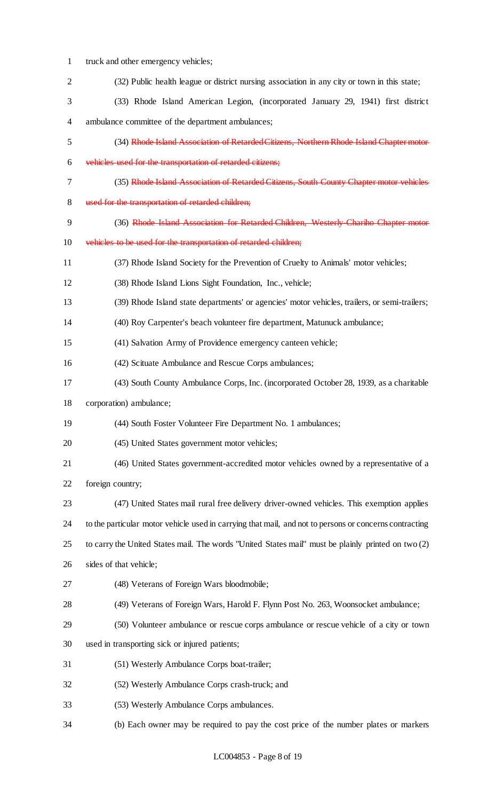truck and other emergency vehicles; (32) Public health league or district nursing association in any city or town in this state; (33) Rhode Island American Legion, (incorporated January 29, 1941) first district ambulance committee of the department ambulances; (34) Rhode Island Association of Retarded Citizens, Northern Rhode Island Chapter motor vehicles used for the transportation of retarded citizens; (35) Rhode Island Association of Retarded Citizens, South County Chapter motor vehicles used for the transportation of retarded children; (36) Rhode Island Association for Retarded Children, Westerly-Chariho Chapter motor vehicles to be used for the transportation of retarded children; (37) Rhode Island Society for the Prevention of Cruelty to Animals' motor vehicles; (38) Rhode Island Lions Sight Foundation, Inc., vehicle; (39) Rhode Island state departments' or agencies' motor vehicles, trailers, or semi-trailers; (40) Roy Carpenter's beach volunteer fire department, Matunuck ambulance; (41) Salvation Army of Providence emergency canteen vehicle; (42) Scituate Ambulance and Rescue Corps ambulances; (43) South County Ambulance Corps, Inc. (incorporated October 28, 1939, as a charitable corporation) ambulance; (44) South Foster Volunteer Fire Department No. 1 ambulances; (45) United States government motor vehicles; (46) United States government-accredited motor vehicles owned by a representative of a foreign country; (47) United States mail rural free delivery driver-owned vehicles. This exemption applies to the particular motor vehicle used in carrying that mail, and not to persons or concerns contracting to carry the United States mail. The words "United States mail" must be plainly printed on two (2) sides of that vehicle; (48) Veterans of Foreign Wars bloodmobile; (49) Veterans of Foreign Wars, Harold F. Flynn Post No. 263, Woonsocket ambulance; (50) Volunteer ambulance or rescue corps ambulance or rescue vehicle of a city or town used in transporting sick or injured patients; (51) Westerly Ambulance Corps boat-trailer; (52) Westerly Ambulance Corps crash-truck; and (53) Westerly Ambulance Corps ambulances. (b) Each owner may be required to pay the cost price of the number plates or markers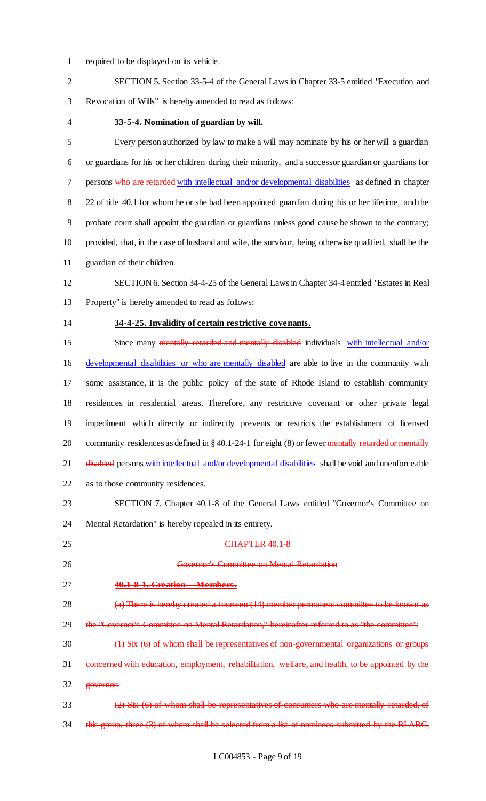required to be displayed on its vehicle.

 SECTION 5. Section 33-5-4 of the General Laws in Chapter 33-5 entitled "Execution and Revocation of Wills" is hereby amended to read as follows:

#### **33-5-4. Nomination of guardian by will.**

 Every person authorized by law to make a will may nominate by his or her will a guardian or guardians for his or her children during their minority, and a successor guardian or guardians for 7 persons who are retarded with intellectual and/or developmental disabilities as defined in chapter 22 of title 40.1 for whom he or she had been appointed guardian during his or her lifetime, and the probate court shall appoint the guardian or guardians unless good cause be shown to the contrary; provided, that, in the case of husband and wife, the survivor, being otherwise qualified, shall be the guardian of their children.

 SECTION 6. Section 34-4-25 of the General Laws in Chapter 34-4 entitled "Estates in Real Property" is hereby amended to read as follows:

## **34-4-25. Invalidity of certain restrictive covenants.**

15 Since many mentally retarded and mentally disabled individuals with intellectual and/or developmental disabilities or who are mentally disabled are able to live in the community with some assistance, it is the public policy of the state of Rhode Island to establish community residences in residential areas. Therefore, any restrictive covenant or other private legal impediment which directly or indirectly prevents or restricts the establishment of licensed 20 community residences as defined in § 40.1-24-1 for eight (8) or fewer mentally retarded or mentally 21 disabled persons with intellectual and/or developmental disabilities shall be void and unenforceable as to those community residences.

 SECTION 7. Chapter 40.1-8 of the General Laws entitled "Governor's Committee on Mental Retardation" is hereby repealed in its entirety.

- 25 CHAPTER 40.1-8 Governor's Committee on Mental Retardation
- **40.1-8-1. Creation -- Members.**

 (a) There is hereby created a fourteen (14) member permanent committee to be known as 29 the "Governor's Committee on Mental Retardation," hereinafter referred to as "the committee":

- (1) Six (6) of whom shall be representatives of non-governmental organizations or groups
- 31 concerned with education, employment, rehabilitation, welfare, and health, to be appointed by the governor;
- $\frac{2}{2}$  Six  $\frac{6}{2}$  of whom shall be representatives of consumers who are mentally retarded, of 34 this group, three (3) of whom shall be selected from a list of nominees submitted by the RI ARC,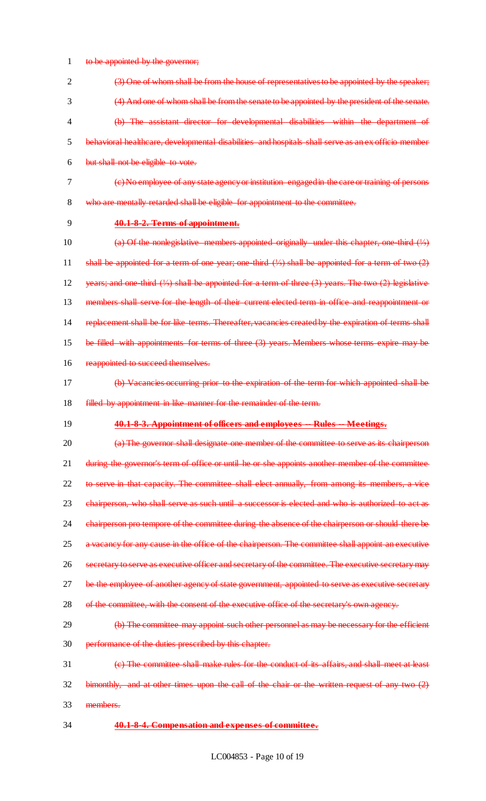1 to be appointed by the governor;

 (3) One of whom shall be from the house of representatives to be appointed by the speaker; (4) And one of whom shall be from the senate to be appointed by the president of the senate. (b) The assistant director for developmental disabilities within the department of behavioral healthcare, developmental disabilities and hospitals shall serve as an ex officio member but shall not be eligible to vote.

(c) No employee of any state agency or institution engaged in the care or training of persons

who are mentally retarded shall be eligible for appointment to the committee.

**40.1-8-2. Terms of appointment.**

 (a) Of the nonlegislative members appointed originally under this chapter, one-third (⅓) shall be appointed for a term of one year; one-third (⅓) shall be appointed for a term of two (2) years; and one-third (⅓) shall be appointed for a term of three (3) years. The two (2) legislative 13 members shall serve for the length of their current elected term in office and reappointment or replacement shall be for like terms. Thereafter, vacancies created by the expiration of terms shall be filled with appointments for terms of three (3) years. Members whose terms expire may be 16 reappointed to succeed themselves.

- (b) Vacancies occurring prior to the expiration of the term for which appointed shall be **filled by appointment in like manner for the remainder of the term.**
- 

#### **40.1-8-3. Appointment of officers and employees -- Rules -- Meetings.**

20 (a) The governor shall designate one member of the committee to serve as its chairperson 21 during the governor's term of office or until he or she appoints another member of the committee to serve in that capacity. The committee shall elect annually, from among its members, a vice 23 chairperson, who shall serve as such until a successor is elected and who is authorized to act as 24 chairperson pro tempore of the committee during the absence of the chairperson or should there be a vacancy for any cause in the office of the chairperson. The committee shall appoint an executive secretary to serve as executive officer and secretary of the committee. The executive secretary may 27 be the employee of another agency of state government, appointed to serve as executive secretary 28 of the committee, with the consent of the executive office of the secretary's own agency. 29 (b) The committee may appoint such other personnel as may be necessary for the efficient

performance of the duties prescribed by this chapter.

 (c) The committee shall make rules for the conduct of its affairs, and shall meet at least bimonthly, and at other times upon the call of the chair or the written request of any two (2)

- members.
- **40.1-8-4. Compensation and expenses of committee.**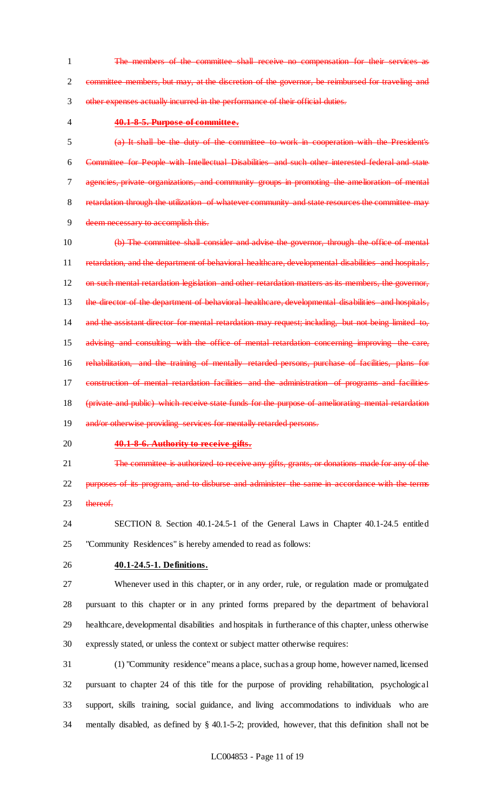1 The members of the committee shall receive no compensation for their services committee members, but may, at the discretion of the governor, be reimbursed for traveling and other expenses actually incurred in the performance of their official duties.

#### **40.1-8-5. Purpose of committee.**

 (a) It shall be the duty of the committee to work in cooperation with the President's Committee for People with Intellectual Disabilities and such other interested federal and state agencies, private organizations, and community groups in promoting the amelioration of mental retardation through the utilization of whatever community and state resources the committee may deem necessary to accomplish this.

 (b) The committee shall consider and advise the governor, through the office of mental retardation, and the department of behavioral healthcare, developmental disabilities and hospitals, on such mental retardation legislation and other retardation matters as its members, the governor, 13 the director of the department of behavioral healthcare, developmental disabilities and hospitals, 14 and the assistant director for mental retardation may request; including, but not being limited to, 15 advising and consulting with the office of mental retardation concerning improving the care, 16 rehabilitation, and the training of mentally retarded persons, purchase of facilities, plans for construction of mental retardation facilities and the administration of programs and facilities (private and public) which receive state funds for the purpose of ameliorating mental retardation 19 and/or otherwise providing services for mentally retarded persons.

- 
- 

#### **40.1-8-6. Authority to receive gifts.**

21 The committee is authorized to receive any gifts, grants, or donations made for any of the 22 purposes of its program, and to disburse and administer the same in accordance with the terms

- 23 thereof
- SECTION 8. Section 40.1-24.5-1 of the General Laws in Chapter 40.1-24.5 entitled "Community Residences" is hereby amended to read as follows:
- 

## **40.1-24.5-1. Definitions.**

 Whenever used in this chapter, or in any order, rule, or regulation made or promulgated pursuant to this chapter or in any printed forms prepared by the department of behavioral healthcare, developmental disabilities and hospitals in furtherance of this chapter, unless otherwise expressly stated, or unless the context or subject matter otherwise requires:

 (1) "Community residence" means a place, such as a group home, however named, licensed pursuant to chapter 24 of this title for the purpose of providing rehabilitation, psychological support, skills training, social guidance, and living accommodations to individuals who are mentally disabled, as defined by § 40.1-5-2; provided, however, that this definition shall not be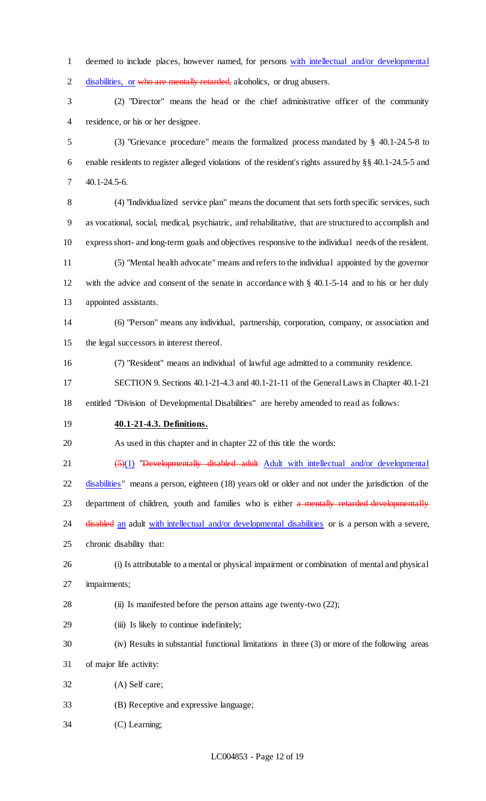deemed to include places, however named, for persons with intellectual and/or developmental 2 disabilities, or who are mentally retarded, alcoholics, or drug abusers.

 (2) "Director" means the head or the chief administrative officer of the community residence, or his or her designee.

 (3) "Grievance procedure" means the formalized process mandated by § 40.1-24.5-8 to enable residents to register alleged violations of the resident's rights assured by §§ 40.1-24.5-5 and 40.1-24.5-6.

 (4) "Individualized service plan" means the document that sets forth specific services, such as vocational, social, medical, psychiatric, and rehabilitative, that are structured to accomplish and express short- and long-term goals and objectives responsive to the individual needs of the resident. (5) "Mental health advocate" means and refers to the individual appointed by the governor

 with the advice and consent of the senate in accordance with § 40.1-5-14 and to his or her duly appointed assistants.

 (6) "Person" means any individual, partnership, corporation, company, or association and the legal successors in interest thereof.

(7) "Resident" means an individual of lawful age admitted to a community residence.

SECTION 9. Sections 40.1-21-4.3 and 40.1-21-11 of the General Laws in Chapter 40.1-21

entitled "Division of Developmental Disabilities" are hereby amended to read as follows:

**40.1-21-4.3. Definitions.**

As used in this chapter and in chapter 22 of this title the words:

21 (5)(1) "Developmentally disabled adult Adult with intellectual and/or developmental

22 disabilities" means a person, eighteen (18) years old or older and not under the jurisdiction of the 23 department of children, youth and families who is either a mentally retarded developmentally 24 disabled an adult with intellectual and/or developmental disabilities or is a person with a severe,

chronic disability that:

 (i) Is attributable to a mental or physical impairment or combination of mental and physical impairments;

(ii) Is manifested before the person attains age twenty-two (22);

- (iii) Is likely to continue indefinitely;
- (iv) Results in substantial functional limitations in three (3) or more of the following areas
- of major life activity:
- (A) Self care;
- (B) Receptive and expressive language;
- (C) Learning;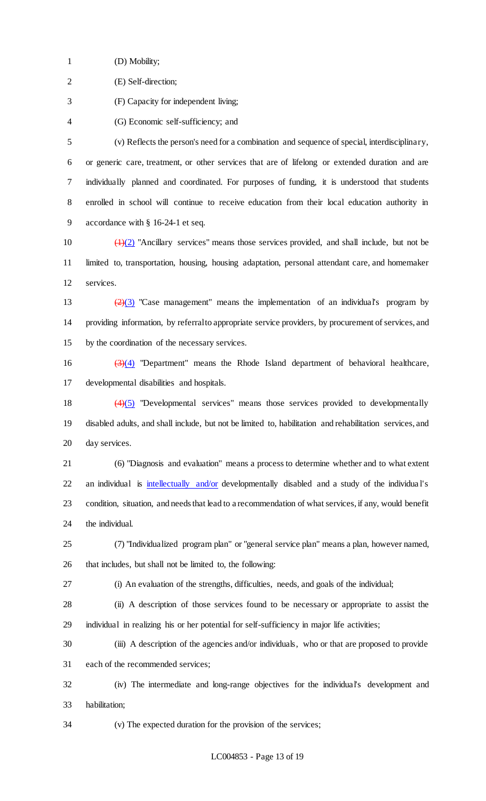(D) Mobility;

(E) Self-direction;

(F) Capacity for independent living;

(G) Economic self-sufficiency; and

 (v) Reflects the person's need for a combination and sequence of special, interdisciplinary, or generic care, treatment, or other services that are of lifelong or extended duration and are individually planned and coordinated. For purposes of funding, it is understood that students enrolled in school will continue to receive education from their local education authority in accordance with § 16-24-1 et seq.

10  $\left(\frac{1}{2}\right)$  "Ancillary services" means those services provided, and shall include, but not be limited to, transportation, housing, housing adaptation, personal attendant care, and homemaker services.

13  $\left(\frac{2}{3}\right)$  "Case management" means the implementation of an individual's program by providing information, by referral to appropriate service providers, by procurement of services, and by the coordination of the necessary services.

16  $(3)(4)$  "Department" means the Rhode Island department of behavioral healthcare, developmental disabilities and hospitals.

 (4)(5) "Developmental services" means those services provided to developmentally disabled adults, and shall include, but not be limited to, habilitation and rehabilitation services, and day services.

 (6) "Diagnosis and evaluation" means a process to determine whether and to what extent 22 an individual is intellectually and/or developmentally disabled and a study of the individual's condition, situation, and needs that lead to a recommendation of what services, if any, would benefit the individual.

 (7) "Individualized program plan" or "general service plan" means a plan, however named, that includes, but shall not be limited to, the following:

(i) An evaluation of the strengths, difficulties, needs, and goals of the individual;

 (ii) A description of those services found to be necessary or appropriate to assist the individual in realizing his or her potential for self-sufficiency in major life activities;

 (iii) A description of the agencies and/or individuals, who or that are proposed to provide each of the recommended services;

 (iv) The intermediate and long-range objectives for the individual's development and habilitation;

(v) The expected duration for the provision of the services;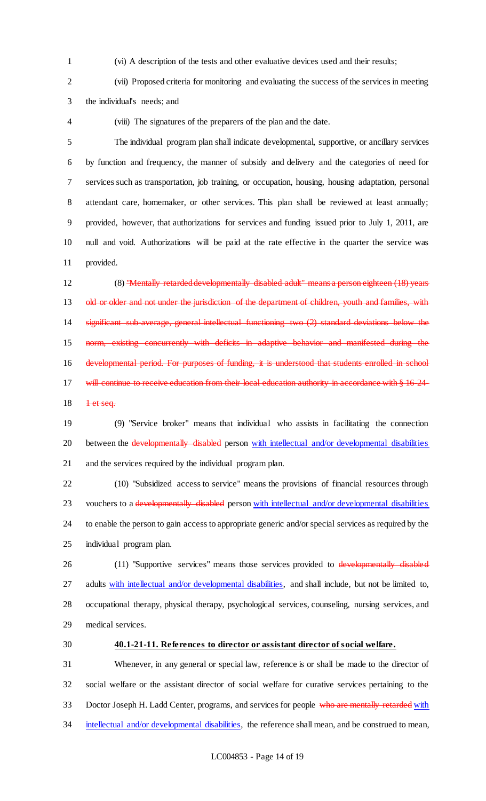(vi) A description of the tests and other evaluative devices used and their results;

(vii) Proposed criteria for monitoring and evaluating the success of the services in meeting

the individual's needs; and

(viii) The signatures of the preparers of the plan and the date.

 The individual program plan shall indicate developmental, supportive, or ancillary services by function and frequency, the manner of subsidy and delivery and the categories of need for services such as transportation, job training, or occupation, housing, housing adaptation, personal attendant care, homemaker, or other services. This plan shall be reviewed at least annually; provided, however, that authorizations for services and funding issued prior to July 1, 2011, are null and void. Authorizations will be paid at the rate effective in the quarter the service was provided.

 (8) "Mentally retarded developmentally disabled adult" means a person eighteen (18) years 13 old or older and not under the jurisdiction of the department of children, youth and families, with significant sub-average, general intellectual functioning two (2) standard deviations below the norm, existing concurrently with deficits in adaptive behavior and manifested during the 16 developmental period. For purposes of funding, it is understood that students enrolled in school 17 will continue to receive education from their local education authority in accordance with § 16-24-<del>1 et seq.</del>

 (9) "Service broker" means that individual who assists in facilitating the connection 20 between the developmentally disabled person with intellectual and/or developmental disabilities and the services required by the individual program plan.

 (10) "Subsidized access to service" means the provisions of financial resources through 23 vouchers to a developmentally disabled person with intellectual and/or developmental disabilities to enable the person to gain access to appropriate generic and/or special services as required by the individual program plan.

26 (11) "Supportive services" means those services provided to developmentally disabled 27 adults with intellectual and/or developmental disabilities, and shall include, but not be limited to, occupational therapy, physical therapy, psychological services, counseling, nursing services, and medical services.

#### **40.1-21-11. References to director or assistant director of social welfare.**

 Whenever, in any general or special law, reference is or shall be made to the director of social welfare or the assistant director of social welfare for curative services pertaining to the 33 Doctor Joseph H. Ladd Center, programs, and services for people who are mentally retarded with 34 intellectual and/or developmental disabilities, the reference shall mean, and be construed to mean,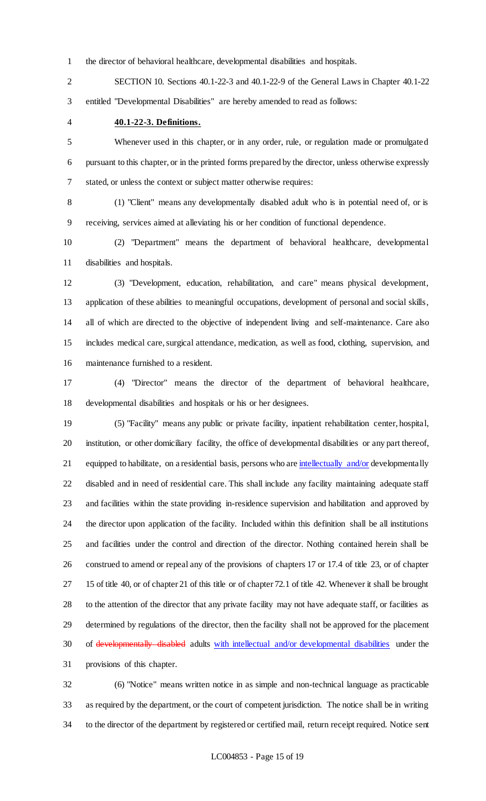the director of behavioral healthcare, developmental disabilities and hospitals.

 SECTION 10. Sections 40.1-22-3 and 40.1-22-9 of the General Laws in Chapter 40.1-22 entitled "Developmental Disabilities" are hereby amended to read as follows:

#### **40.1-22-3. Definitions.**

 Whenever used in this chapter, or in any order, rule, or regulation made or promulgated pursuant to this chapter, or in the printed forms prepared by the director, unless otherwise expressly stated, or unless the context or subject matter otherwise requires:

 (1) "Client" means any developmentally disabled adult who is in potential need of, or is receiving, services aimed at alleviating his or her condition of functional dependence.

 (2) "Department" means the department of behavioral healthcare, developmental disabilities and hospitals.

 (3) "Development, education, rehabilitation, and care" means physical development, application of these abilities to meaningful occupations, development of personal and social skills, all of which are directed to the objective of independent living and self-maintenance. Care also includes medical care, surgical attendance, medication, as well as food, clothing, supervision, and maintenance furnished to a resident.

 (4) "Director" means the director of the department of behavioral healthcare, developmental disabilities and hospitals or his or her designees.

 (5) "Facility" means any public or private facility, inpatient rehabilitation center, hospital, institution, or other domiciliary facility, the office of developmental disabilities or any part thereof, 21 equipped to habilitate, on a residential basis, persons who are intellectually and/or developmentally disabled and in need of residential care. This shall include any facility maintaining adequate staff and facilities within the state providing in-residence supervision and habilitation and approved by the director upon application of the facility. Included within this definition shall be all institutions and facilities under the control and direction of the director. Nothing contained herein shall be construed to amend or repeal any of the provisions of chapters 17 or 17.4 of title 23, or of chapter 15 of title 40, or of chapter 21 of this title or of chapter 72.1 of title 42. Whenever it shall be brought to the attention of the director that any private facility may not have adequate staff, or facilities as determined by regulations of the director, then the facility shall not be approved for the placement of developmentally disabled adults with intellectual and/or developmental disabilities under the provisions of this chapter.

 (6) "Notice" means written notice in as simple and non-technical language as practicable as required by the department, or the court of competent jurisdiction. The notice shall be in writing to the director of the department by registered or certified mail, return receipt required. Notice sent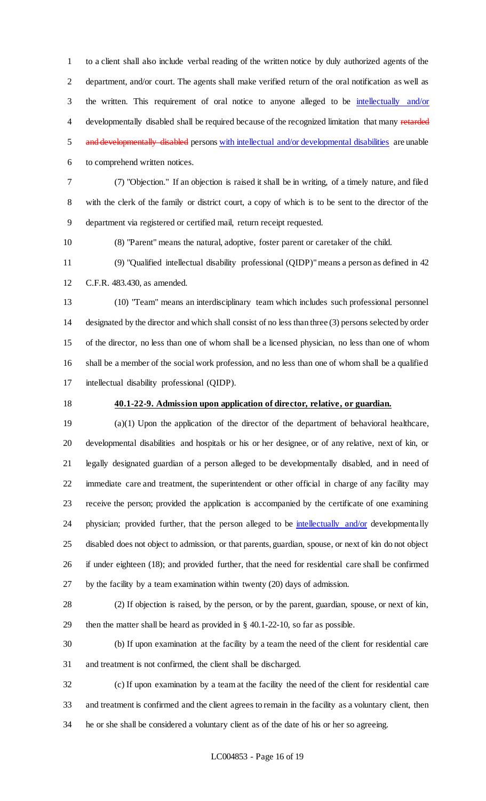to a client shall also include verbal reading of the written notice by duly authorized agents of the department, and/or court. The agents shall make verified return of the oral notification as well as the written. This requirement of oral notice to anyone alleged to be intellectually and/or 4 developmentally disabled shall be required because of the recognized limitation that many retarded 5 and developmentally disabled persons with intellectual and/or developmental disabilities are unable to comprehend written notices.

 (7) "Objection." If an objection is raised it shall be in writing, of a timely nature, and filed with the clerk of the family or district court, a copy of which is to be sent to the director of the department via registered or certified mail, return receipt requested.

(8) "Parent" means the natural, adoptive, foster parent or caretaker of the child.

 (9) "Qualified intellectual disability professional (QIDP)" means a person as defined in 42 C.F.R. 483.430, as amended.

 (10) "Team" means an interdisciplinary team which includes such professional personnel designated by the director and which shall consist of no less than three (3) persons selected by order of the director, no less than one of whom shall be a licensed physician, no less than one of whom shall be a member of the social work profession, and no less than one of whom shall be a qualified intellectual disability professional (QIDP).

## **40.1-22-9. Admission upon application of director, relative, or guardian.**

 (a)(1) Upon the application of the director of the department of behavioral healthcare, developmental disabilities and hospitals or his or her designee, or of any relative, next of kin, or legally designated guardian of a person alleged to be developmentally disabled, and in need of immediate care and treatment, the superintendent or other official in charge of any facility may receive the person; provided the application is accompanied by the certificate of one examining 24 physician; provided further, that the person alleged to be *intellectually and/or* developmentally disabled does not object to admission, or that parents, guardian, spouse, or next of kin do not object if under eighteen (18); and provided further, that the need for residential care shall be confirmed by the facility by a team examination within twenty (20) days of admission.

 (2) If objection is raised, by the person, or by the parent, guardian, spouse, or next of kin, then the matter shall be heard as provided in § 40.1-22-10, so far as possible.

 (b) If upon examination at the facility by a team the need of the client for residential care and treatment is not confirmed, the client shall be discharged.

 (c) If upon examination by a team at the facility the need of the client for residential care and treatment is confirmed and the client agrees to remain in the facility as a voluntary client, then he or she shall be considered a voluntary client as of the date of his or her so agreeing.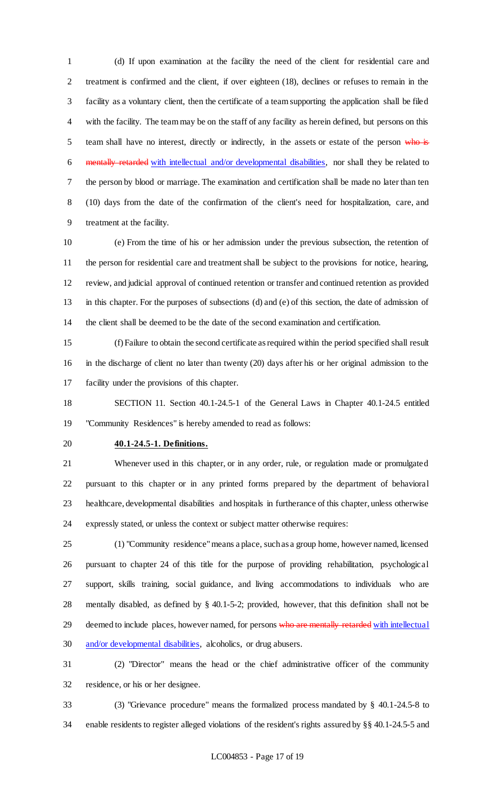(d) If upon examination at the facility the need of the client for residential care and treatment is confirmed and the client, if over eighteen (18), declines or refuses to remain in the facility as a voluntary client, then the certificate of a team supporting the application shall be filed with the facility. The team may be on the staff of any facility as herein defined, but persons on this 5 team shall have no interest, directly or indirectly, in the assets or estate of the person who is mentally retarded with intellectual and/or developmental disabilities, nor shall they be related to the person by blood or marriage. The examination and certification shall be made no later than ten (10) days from the date of the confirmation of the client's need for hospitalization, care, and treatment at the facility.

 (e) From the time of his or her admission under the previous subsection, the retention of the person for residential care and treatment shall be subject to the provisions for notice, hearing, review, and judicial approval of continued retention or transfer and continued retention as provided in this chapter. For the purposes of subsections (d) and (e) of this section, the date of admission of the client shall be deemed to be the date of the second examination and certification.

 (f) Failure to obtain the second certificate as required within the period specified shall result in the discharge of client no later than twenty (20) days after his or her original admission to the facility under the provisions of this chapter.

 SECTION 11. Section 40.1-24.5-1 of the General Laws in Chapter 40.1-24.5 entitled "Community Residences" is hereby amended to read as follows:

#### **40.1-24.5-1. Definitions.**

 Whenever used in this chapter, or in any order, rule, or regulation made or promulgated pursuant to this chapter or in any printed forms prepared by the department of behavioral healthcare, developmental disabilities and hospitals in furtherance of this chapter, unless otherwise expressly stated, or unless the context or subject matter otherwise requires:

 (1) "Community residence" means a place, such as a group home, however named, licensed pursuant to chapter 24 of this title for the purpose of providing rehabilitation, psychological support, skills training, social guidance, and living accommodations to individuals who are mentally disabled, as defined by § 40.1-5-2; provided, however, that this definition shall not be 29 deemed to include places, however named, for persons who are mentally retarded with intellectual 30 and/or developmental disabilities, alcoholics, or drug abusers.

 (2) "Director" means the head or the chief administrative officer of the community residence, or his or her designee.

 (3) "Grievance procedure" means the formalized process mandated by § 40.1-24.5-8 to enable residents to register alleged violations of the resident's rights assured by §§ 40.1-24.5-5 and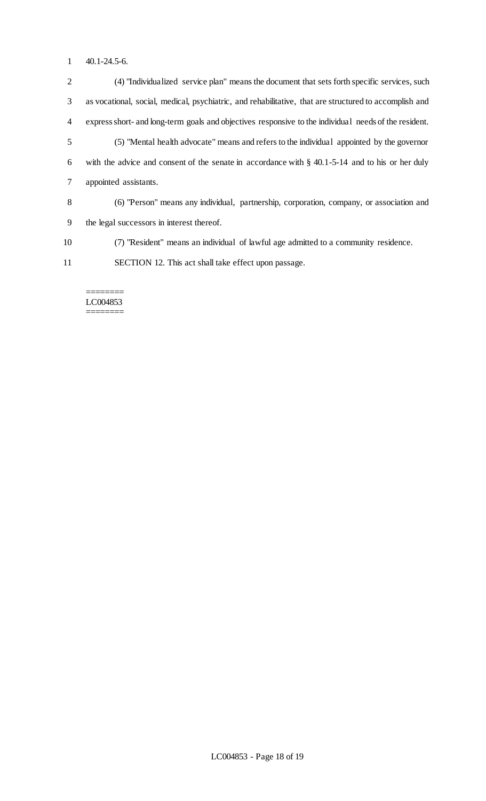- 40.1-24.5-6.
- (4) "Individualized service plan" means the document that sets forth specific services, such as vocational, social, medical, psychiatric, and rehabilitative, that are structured to accomplish and express short- and long-term goals and objectives responsive to the individual needs of the resident. (5) "Mental health advocate" means and refers to the individual appointed by the governor with the advice and consent of the senate in accordance with § 40.1-5-14 and to his or her duly appointed assistants. (6) "Person" means any individual, partnership, corporation, company, or association and the legal successors in interest thereof.
- (7) "Resident" means an individual of lawful age admitted to a community residence.
- SECTION 12. This act shall take effect upon passage.

#### ======== LC004853 ========